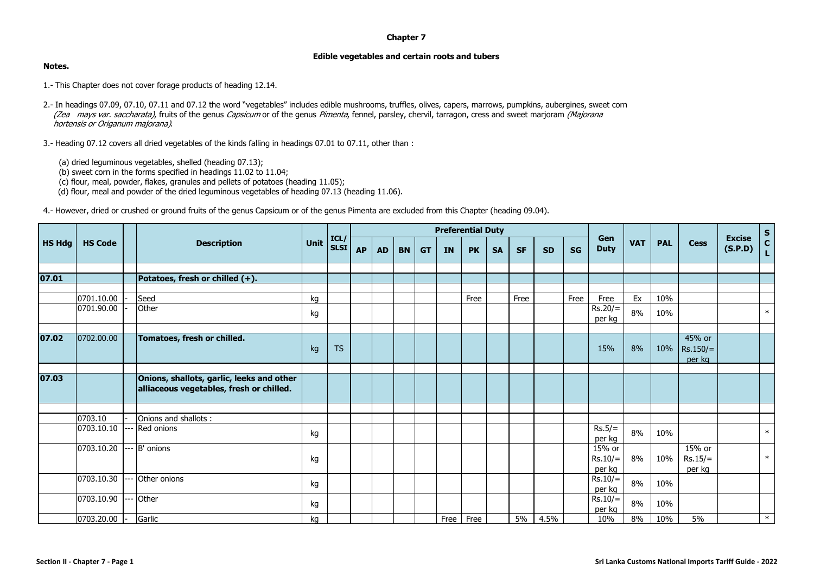## **Chapter 7**

## **Edible vegetables and certain roots and tubers**

## **Notes.**

- 1.- This Chapter does not cover forage products of heading 12.14.
- 2.- In headings 07.09, 07.10, 07.11 and 07.12 the word "vegetables" includes edible mushrooms, truffles, olives, capers, marrows, pumpkins, aubergines, sweet corn (Zea mays var. saccharata), fruits of the genus Capsicum or of the genus Pimenta, fennel, parsley, chervil, tarragon, cress and sweet marjoram (Majorana hortensis or Origanum majorana).
- 3.- Heading 07.12 covers all dried vegetables of the kinds falling in headings 07.01 to 07.11, other than :
	- (a) dried leguminous vegetables, shelled (heading 07.13);
	- $(b)$  sweet corn in the forms specified in headings 11.02 to 11.04;
	- (c) flour, meal, powder, flakes, granules and pellets of potatoes (heading 11.05);
	- (d) flour, meal and powder of the dried leguminous vegetables of heading 07.13 (heading 11.06).

4.- However, dried or crushed or ground fruits of the genus Capsicum or of the genus Pimenta are excluded from this Chapter (heading 09.04).

|               |                |                                                                                       |      |                    | <b>Preferential Duty</b> |           |           |           |           |           |           |           |           |           |                     |            |            |                                |                          |                  |
|---------------|----------------|---------------------------------------------------------------------------------------|------|--------------------|--------------------------|-----------|-----------|-----------|-----------|-----------|-----------|-----------|-----------|-----------|---------------------|------------|------------|--------------------------------|--------------------------|------------------|
| <b>HS Hdg</b> | <b>HS Code</b> | <b>Description</b>                                                                    | Unit | ICL<br><b>SLSI</b> | <b>AP</b>                | <b>AD</b> | <b>BN</b> | <b>GT</b> | <b>IN</b> | <b>PK</b> | <b>SA</b> | <b>SF</b> | <b>SD</b> | <b>SG</b> | Gen<br><b>Duty</b>  | <b>VAT</b> | <b>PAL</b> | <b>Cess</b>                    | <b>Excise</b><br>(S.P.D) | $S$<br>$C$<br>L. |
|               |                |                                                                                       |      |                    |                          |           |           |           |           |           |           |           |           |           |                     |            |            |                                |                          |                  |
| 07.01         |                | Potatoes, fresh or chilled (+).                                                       |      |                    |                          |           |           |           |           |           |           |           |           |           |                     |            |            |                                |                          |                  |
|               |                |                                                                                       |      |                    |                          |           |           |           |           |           |           |           |           |           |                     |            |            |                                |                          |                  |
|               | 0701.10.00     | Seed                                                                                  | kg   |                    |                          |           |           |           |           | Free      |           | Free      |           | Free      | Free                | Ex         | 10%        |                                |                          |                  |
|               | 0701.90.00     | Other                                                                                 | kg   |                    |                          |           |           |           |           |           |           |           |           |           | $Rs.20/=$<br>per kg | 8%         | 10%        |                                |                          | $\ast$           |
|               |                |                                                                                       |      |                    |                          |           |           |           |           |           |           |           |           |           |                     |            |            |                                |                          |                  |
| 07.02         | 0702.00.00     | Tomatoes, fresh or chilled.                                                           | kg   | <b>TS</b>          |                          |           |           |           |           |           |           |           |           |           | 15%                 | 8%         | 10%        | 45% or<br>$Rs.150/=$<br>per kg |                          |                  |
|               |                |                                                                                       |      |                    |                          |           |           |           |           |           |           |           |           |           |                     |            |            |                                |                          |                  |
| 07.03         |                | Onions, shallots, garlic, leeks and other<br>alliaceous vegetables, fresh or chilled. |      |                    |                          |           |           |           |           |           |           |           |           |           |                     |            |            |                                |                          |                  |
|               |                |                                                                                       |      |                    |                          |           |           |           |           |           |           |           |           |           |                     |            |            |                                |                          |                  |
|               | 0703.10        | Onions and shallots:                                                                  |      |                    |                          |           |           |           |           |           |           |           |           |           |                     |            |            |                                |                          |                  |
|               | 0703.10.10     | --- Red onions                                                                        | kg   |                    |                          |           |           |           |           |           |           |           |           |           | $Rs.5/=$<br>per kg  | 8%         | 10%        |                                |                          | $\ast$           |
|               | 0703.10.20     | --- B' onions                                                                         |      |                    |                          |           |           |           |           |           |           |           |           |           | 15% or              |            |            | 15% or                         |                          |                  |
|               |                |                                                                                       | kg   |                    |                          |           |           |           |           |           |           |           |           |           | $Rs.10/=$<br>per ka | 8%         | 10%        | $Rs.15/=$<br>per ka            |                          | $\ast$           |
|               | 0703.10.30     | Other onions                                                                          | kg   |                    |                          |           |           |           |           |           |           |           |           |           | $Rs.10/=$           | 8%         | 10%        |                                |                          |                  |
|               |                |                                                                                       |      |                    |                          |           |           |           |           |           |           |           |           |           | per kg              |            |            |                                |                          |                  |
|               | 0703.10.90     | Other                                                                                 | kg   |                    |                          |           |           |           |           |           |           |           |           |           | $Rs.10/=$<br>per kg | 8%         | 10%        |                                |                          |                  |
|               | 0703.20.00     | Garlic                                                                                | kg   |                    |                          |           |           |           | Free      | Free      |           | 5%        | 4.5%      |           | 10%                 | 8%         | 10%        | 5%                             |                          | $\ast$           |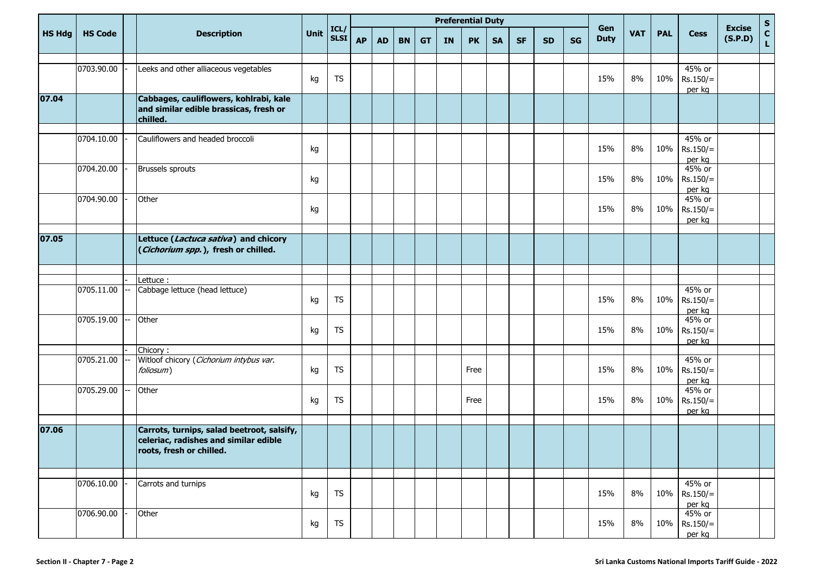|               |                | <b>Preferential Duty</b> |                                                                                                                 |      |                    |           |           |           |           |           |           |           |           |           |           |                    |            |            |                                |                          |             |
|---------------|----------------|--------------------------|-----------------------------------------------------------------------------------------------------------------|------|--------------------|-----------|-----------|-----------|-----------|-----------|-----------|-----------|-----------|-----------|-----------|--------------------|------------|------------|--------------------------------|--------------------------|-------------|
| <b>HS Hdg</b> | <b>HS Code</b> |                          | <b>Description</b>                                                                                              | Unit | ICL<br><b>SLSI</b> | <b>AP</b> | <b>AD</b> | <b>BN</b> | <b>GT</b> | <b>IN</b> | <b>PK</b> | <b>SA</b> | <b>SF</b> | <b>SD</b> | <b>SG</b> | Gen<br><b>Duty</b> | <b>VAT</b> | <b>PAL</b> | <b>Cess</b>                    | <b>Excise</b><br>(S.P.D) | S<br>C<br>L |
|               |                |                          |                                                                                                                 |      |                    |           |           |           |           |           |           |           |           |           |           |                    |            |            | 45% or                         |                          |             |
|               | 0703.90.00     |                          | Leeks and other alliaceous vegetables                                                                           | kg   | <b>TS</b>          |           |           |           |           |           |           |           |           |           |           | 15%                | 8%         | 10%        | $Rs.150/=$<br>per kg           |                          |             |
| 07.04         |                |                          | Cabbages, cauliflowers, kohlrabi, kale<br>and similar edible brassicas, fresh or<br>chilled.                    |      |                    |           |           |           |           |           |           |           |           |           |           |                    |            |            |                                |                          |             |
|               | 0704.10.00     |                          | Cauliflowers and headed broccoli                                                                                | kg   |                    |           |           |           |           |           |           |           |           |           |           | 15%                | 8%         | 10%        | 45% or<br>$Rs.150/=$<br>per kg |                          |             |
|               | 0704.20.00     |                          | Brussels sprouts                                                                                                | kg   |                    |           |           |           |           |           |           |           |           |           |           | 15%                | 8%         | 10%        | 45% or<br>$Rs.150/=$<br>per kg |                          |             |
|               | 0704.90.00     |                          | Other                                                                                                           | kg   |                    |           |           |           |           |           |           |           |           |           |           | 15%                | 8%         | 10%        | 45% or<br>$Rs.150/=$<br>per kg |                          |             |
|               |                |                          |                                                                                                                 |      |                    |           |           |           |           |           |           |           |           |           |           |                    |            |            |                                |                          |             |
| 07.05         |                |                          | Lettuce (Lactuca sativa) and chicory<br>(Cichorium spp.), fresh or chilled.                                     |      |                    |           |           |           |           |           |           |           |           |           |           |                    |            |            |                                |                          |             |
|               |                |                          |                                                                                                                 |      |                    |           |           |           |           |           |           |           |           |           |           |                    |            |            |                                |                          |             |
|               | 0705.11.00     |                          | Lettuce:<br>Cabbage lettuce (head lettuce)                                                                      |      |                    |           |           |           |           |           |           |           |           |           |           |                    |            |            | 45% or                         |                          |             |
|               |                |                          |                                                                                                                 | kg   | <b>TS</b>          |           |           |           |           |           |           |           |           |           |           | 15%                | 8%         | 10%        | $Rs.150/=$<br>per kg           |                          |             |
|               | 0705.19.00     |                          | Other                                                                                                           | kg   | TS                 |           |           |           |           |           |           |           |           |           |           | 15%                | 8%         | 10%        | 45% or<br>$Rs.150/=$<br>per kg |                          |             |
|               |                |                          | Chicory:                                                                                                        |      |                    |           |           |           |           |           |           |           |           |           |           |                    |            |            |                                |                          |             |
|               | 0705.21.00     |                          | Witloof chicory (Cichorium intybus var.<br>foliosum)                                                            | kg   | TS                 |           |           |           |           |           | Free      |           |           |           |           | 15%                | 8%         | 10%        | 45% or<br>$Rs.150/=$<br>per kg |                          |             |
|               | 0705.29.00     |                          | Other                                                                                                           | kg   | <b>TS</b>          |           |           |           |           |           | Free      |           |           |           |           | 15%                | 8%         | 10%        | 45% or<br>$Rs.150/=$<br>per kg |                          |             |
|               |                |                          |                                                                                                                 |      |                    |           |           |           |           |           |           |           |           |           |           |                    |            |            |                                |                          |             |
| 07.06         |                |                          | Carrots, turnips, salad beetroot, salsify,<br>celeriac, radishes and similar edible<br>roots, fresh or chilled. |      |                    |           |           |           |           |           |           |           |           |           |           |                    |            |            |                                |                          |             |
|               |                |                          |                                                                                                                 |      |                    |           |           |           |           |           |           |           |           |           |           |                    |            |            |                                |                          |             |
|               | 0706.10.00     |                          | Carrots and turnips                                                                                             | kg   | <b>TS</b>          |           |           |           |           |           |           |           |           |           |           | 15%                | 8%         | 10%        | 45% or<br>$Rs.150/=$<br>per kg |                          |             |
|               | 0706.90.00     |                          | Other                                                                                                           | kg   | <b>TS</b>          |           |           |           |           |           |           |           |           |           |           | 15%                | 8%         | 10%        | 45% or<br>$Rs.150/=$<br>per kg |                          |             |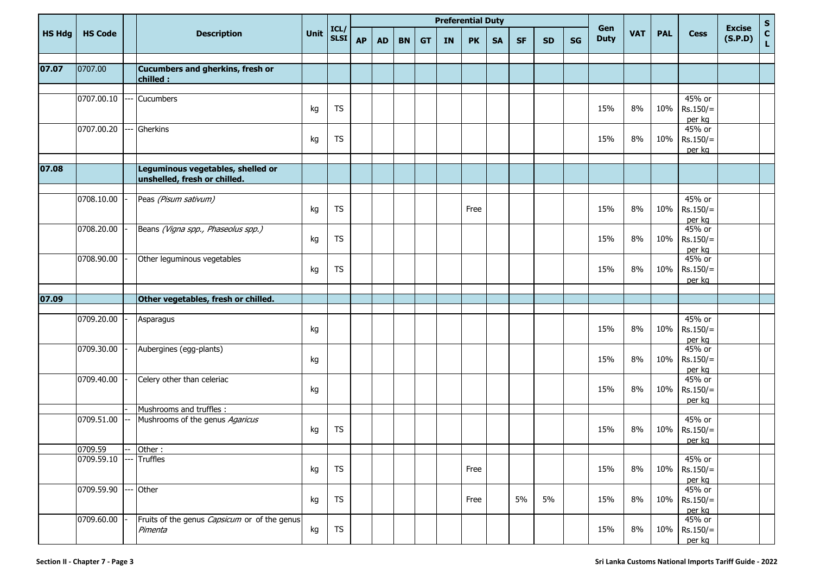|               |                |     |                                                                   |      |                     |           |           |           |           |           | <b>Preferential Duty</b> |           |           |           |           |                    |            |            |                                |                          |                                   |
|---------------|----------------|-----|-------------------------------------------------------------------|------|---------------------|-----------|-----------|-----------|-----------|-----------|--------------------------|-----------|-----------|-----------|-----------|--------------------|------------|------------|--------------------------------|--------------------------|-----------------------------------|
| <b>HS Hdg</b> | <b>HS Code</b> |     | <b>Description</b>                                                | Unit | ICL/<br><b>SLSI</b> | <b>AP</b> | <b>AD</b> | <b>BN</b> | <b>GT</b> | <b>IN</b> | <b>PK</b>                | <b>SA</b> | <b>SF</b> | <b>SD</b> | <b>SG</b> | Gen<br><b>Duty</b> | <b>VAT</b> | <b>PAL</b> | <b>Cess</b>                    | <b>Excise</b><br>(S.P.D) | $rac{s}{c}$<br>$\bar{\mathbf{L}}$ |
| 07.07         | 0707.00        |     | Cucumbers and gherkins, fresh or<br>chilled :                     |      |                     |           |           |           |           |           |                          |           |           |           |           |                    |            |            |                                |                          |                                   |
|               | 0707.00.10     |     | Cucumbers                                                         | kg   | <b>TS</b>           |           |           |           |           |           |                          |           |           |           |           | 15%                | 8%         | 10%        | 45% or<br>$Rs.150/=$<br>per kg |                          |                                   |
|               | 0707.00.20     |     | Gherkins                                                          | kg   | <b>TS</b>           |           |           |           |           |           |                          |           |           |           |           | 15%                | 8%         | 10%        | 45% or<br>$Rs.150/=$<br>per kg |                          |                                   |
| 07.08         |                |     | Leguminous vegetables, shelled or<br>unshelled, fresh or chilled. |      |                     |           |           |           |           |           |                          |           |           |           |           |                    |            |            |                                |                          |                                   |
|               | 0708.10.00     |     | Peas (Pisum sativum)                                              | kg   | <b>TS</b>           |           |           |           |           |           | Free                     |           |           |           |           | 15%                | 8%         | 10%        | 45% or<br>$Rs.150/=$<br>per kg |                          |                                   |
|               | 0708.20.00     |     | Beans (Vigna spp., Phaseolus spp.)                                | kg   | <b>TS</b>           |           |           |           |           |           |                          |           |           |           |           | 15%                | 8%         | 10%        | 45% or<br>$Rs.150/=$<br>per kg |                          |                                   |
|               | 0708.90.00     |     | Other leguminous vegetables                                       | kg   | <b>TS</b>           |           |           |           |           |           |                          |           |           |           |           | 15%                | 8%         | 10%        | 45% or<br>$Rs.150/=$<br>per kg |                          |                                   |
| 07.09         |                |     |                                                                   |      |                     |           |           |           |           |           |                          |           |           |           |           |                    |            |            |                                |                          |                                   |
|               |                |     | Other vegetables, fresh or chilled.                               |      |                     |           |           |           |           |           |                          |           |           |           |           |                    |            |            |                                |                          |                                   |
|               | 0709.20.00     |     | Asparagus                                                         | kg   |                     |           |           |           |           |           |                          |           |           |           |           | 15%                | 8%         | 10%        | 45% or<br>$Rs.150/=$<br>per kg |                          |                                   |
|               | 0709.30.00     |     | Aubergines (egg-plants)                                           | kg   |                     |           |           |           |           |           |                          |           |           |           |           | 15%                | 8%         | 10%        | 45% or<br>$Rs.150/=$<br>per kg |                          |                                   |
|               | 0709.40.00     |     | Celery other than celeriac                                        | kg   |                     |           |           |           |           |           |                          |           |           |           |           | 15%                | 8%         | 10%        | 45% or<br>$Rs.150/=$<br>per kg |                          |                                   |
|               |                |     | Mushrooms and truffles :                                          |      |                     |           |           |           |           |           |                          |           |           |           |           |                    |            |            |                                |                          |                                   |
|               | 0709.51.00     |     | Mushrooms of the genus Agaricus                                   | kg   | <b>TS</b>           |           |           |           |           |           |                          |           |           |           |           | 15%                | 8%         | 10%        | 45% or<br>$Rs.150/=$<br>per kg |                          |                                   |
|               | 0709.59        |     | Other:                                                            |      |                     |           |           |           |           |           |                          |           |           |           |           |                    |            |            |                                |                          |                                   |
|               | 0709.59.10     |     | <b>Truffles</b>                                                   | kg   | <b>TS</b>           |           |           |           |           |           | Free                     |           |           |           |           | 15%                | 8%         | 10%        | 45% or<br>$Rs.150/=$<br>per kg |                          |                                   |
|               | 0709.59.90     | --- | Other                                                             | kg   | <b>TS</b>           |           |           |           |           |           | Free                     |           | 5%        | 5%        |           | 15%                | $8\%$      | 10%        | 45% or<br>$Rs.150/=$<br>per kg |                          |                                   |
|               | 0709.60.00     |     | Fruits of the genus <i>Capsicum</i> or of the genus<br>Pimenta    | kg   | <b>TS</b>           |           |           |           |           |           |                          |           |           |           |           | 15%                | 8%         | 10%        | 45% or<br>$Rs.150/=$<br>per kg |                          |                                   |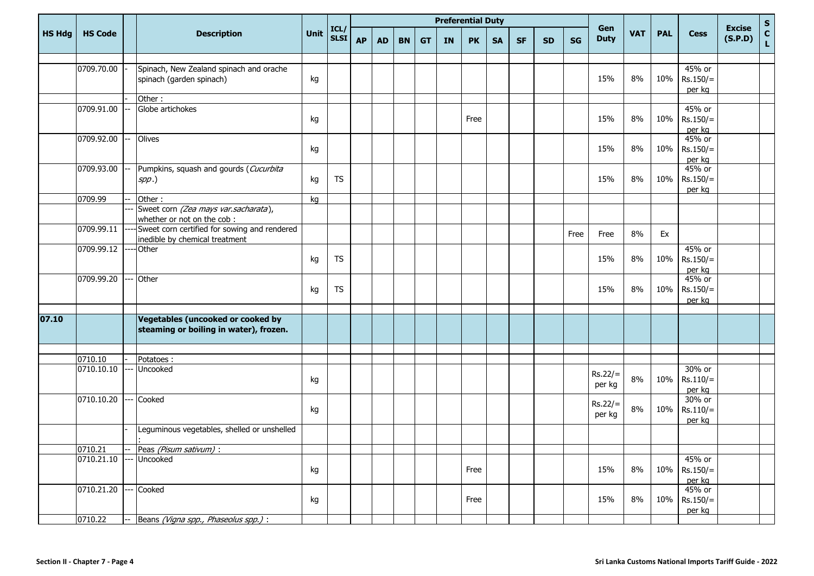|               |                | <b>Preferential Duty</b> |                                                                                |      |                     |           |           |           |           |           |           |           |           |           |           |                     |            |            |                                  |                          |             |
|---------------|----------------|--------------------------|--------------------------------------------------------------------------------|------|---------------------|-----------|-----------|-----------|-----------|-----------|-----------|-----------|-----------|-----------|-----------|---------------------|------------|------------|----------------------------------|--------------------------|-------------|
| <b>HS Hdg</b> | <b>HS Code</b> |                          | <b>Description</b>                                                             | Unit | ICL/<br><b>SLSI</b> | <b>AP</b> | <b>AD</b> | <b>BN</b> | <b>GT</b> | <b>IN</b> | <b>PK</b> | <b>SA</b> | <b>SF</b> | <b>SD</b> | <b>SG</b> | Gen<br><b>Duty</b>  | <b>VAT</b> | <b>PAL</b> | <b>Cess</b>                      | <b>Excise</b><br>(S.P.D) | S<br>C<br>L |
|               | 0709.70.00     |                          | Spinach, New Zealand spinach and orache<br>spinach (garden spinach)            | kg   |                     |           |           |           |           |           |           |           |           |           |           | 15%                 | 8%         | 10%        | 45% or<br>$Rs.150/=$<br>per kg   |                          |             |
|               |                |                          | Other:                                                                         |      |                     |           |           |           |           |           |           |           |           |           |           |                     |            |            |                                  |                          |             |
|               | 0709.91.00     |                          | Globe artichokes                                                               | kg   |                     |           |           |           |           |           | Free      |           |           |           |           | 15%                 | 8%         | 10%        | 45% or<br>$Rs.150/=$<br>per kg   |                          |             |
|               | 0709.92.00     |                          | Olives                                                                         | kg   |                     |           |           |           |           |           |           |           |           |           |           | 15%                 | 8%         | 10%        | 45% or<br>$Rs.150/=$<br>per kg   |                          |             |
|               | 0709.93.00     |                          | Pumpkins, squash and gourds (Cucurbita<br>$spp.$ )                             | kg   | <b>TS</b>           |           |           |           |           |           |           |           |           |           |           | 15%                 | 8%         | 10%        | 45% or<br>$Rs.150/=$<br>per kg   |                          |             |
|               | 0709.99        |                          | Other:                                                                         | kg   |                     |           |           |           |           |           |           |           |           |           |           |                     |            |            |                                  |                          |             |
|               |                |                          | Sweet corn (Zea mays var.sacharata),<br>whether or not on the cob:             |      |                     |           |           |           |           |           |           |           |           |           |           |                     |            |            |                                  |                          |             |
|               | 0709.99.11     |                          | Sweet corn certified for sowing and rendered<br>inedible by chemical treatment |      |                     |           |           |           |           |           |           |           |           |           | Free      | Free                | 8%         | Ex         |                                  |                          |             |
|               | 0709.99.12     |                          | Other                                                                          | kg   | <b>TS</b>           |           |           |           |           |           |           |           |           |           |           | 15%                 | 8%         | 10%        | 45% or<br>$Rs.150/=$<br>per kg   |                          |             |
|               | 0709.99.20     |                          | Other                                                                          | kg   | <b>TS</b>           |           |           |           |           |           |           |           |           |           |           | 15%                 | 8%         | 10%        | 45% or<br>$Rs.150/=$<br>per kg   |                          |             |
|               |                |                          |                                                                                |      |                     |           |           |           |           |           |           |           |           |           |           |                     |            |            |                                  |                          |             |
| 07.10         |                |                          | Vegetables (uncooked or cooked by<br>steaming or boiling in water), frozen.    |      |                     |           |           |           |           |           |           |           |           |           |           |                     |            |            |                                  |                          |             |
|               |                |                          |                                                                                |      |                     |           |           |           |           |           |           |           |           |           |           |                     |            |            |                                  |                          |             |
|               | 0710.10        |                          | Potatoes:                                                                      |      |                     |           |           |           |           |           |           |           |           |           |           |                     |            |            |                                  |                          |             |
|               | 0710.10.10     |                          | Uncooked                                                                       | kg   |                     |           |           |           |           |           |           |           |           |           |           | $Rs.22/=$<br>per kg | 8%         | 10%        | 30% or<br>$Rs.110/=$<br>per kg   |                          |             |
|               | 0710.10.20     |                          | Cooked                                                                         | kg   |                     |           |           |           |           |           |           |           |           |           |           | $Rs.22/=$<br>per kg | 8%         | 10%        | 30% or<br>$Rs.110/=$<br>per kg   |                          |             |
|               |                |                          | Leguminous vegetables, shelled or unshelled                                    |      |                     |           |           |           |           |           |           |           |           |           |           |                     |            |            |                                  |                          |             |
|               | 0710.21        |                          | -- Peas (Pisum sativum) :                                                      |      |                     |           |           |           |           |           |           |           |           |           |           |                     |            |            |                                  |                          |             |
|               | 0710.21.10     |                          | --- Uncooked                                                                   | kg   |                     |           |           |           |           |           | Free      |           |           |           |           | 15%                 | 8%         |            | 45% or<br>10% Rs.150/=<br>per kg |                          |             |
|               | 0710.21.20     |                          | --- Cooked                                                                     | kg   |                     |           |           |           |           |           | Free      |           |           |           |           | 15%                 | 8%         |            | 45% or<br>10% Rs.150/=<br>per kg |                          |             |
|               | 0710.22        |                          | Beans (Vigna spp., Phaseolus spp.) :                                           |      |                     |           |           |           |           |           |           |           |           |           |           |                     |            |            |                                  |                          |             |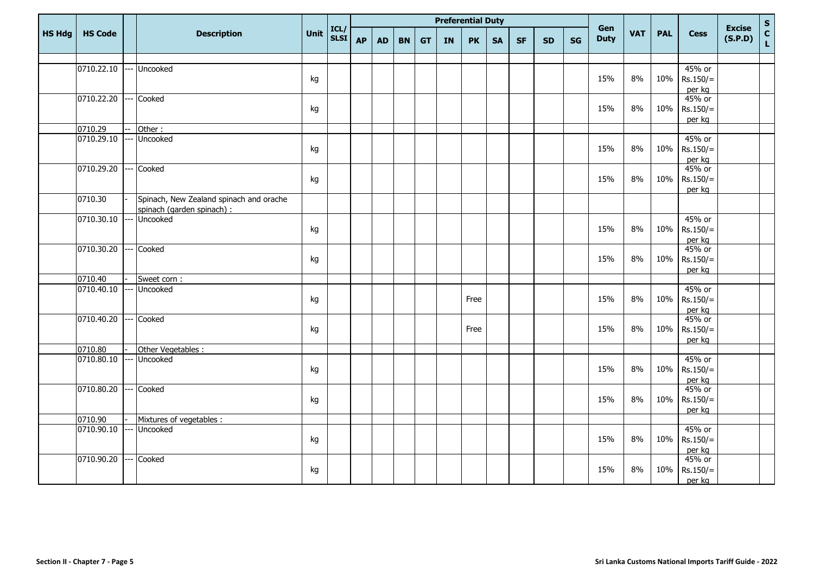|               |                         |                                                                       |      |              |           |           |           |           | <b>Preferential Duty</b> |           |           |           |           |           |                    |            |            |                                |                          |             |
|---------------|-------------------------|-----------------------------------------------------------------------|------|--------------|-----------|-----------|-----------|-----------|--------------------------|-----------|-----------|-----------|-----------|-----------|--------------------|------------|------------|--------------------------------|--------------------------|-------------|
| <b>HS Hdg</b> | <b>HS Code</b>          | <b>Description</b>                                                    | Unit | ICL/<br>SLSI | <b>AP</b> | <b>AD</b> | <b>BN</b> | <b>GT</b> | <b>IN</b>                | <b>PK</b> | <b>SA</b> | <b>SF</b> | <b>SD</b> | <b>SG</b> | Gen<br><b>Duty</b> | <b>VAT</b> | <b>PAL</b> | <b>Cess</b>                    | <b>Excise</b><br>(S.P.D) | S<br>C<br>L |
|               |                         |                                                                       |      |              |           |           |           |           |                          |           |           |           |           |           |                    |            |            |                                |                          |             |
|               | 0710.22.10              | --- Uncooked                                                          | kg   |              |           |           |           |           |                          |           |           |           |           |           | 15%                | 8%         | 10%        | 45% or<br>$Rs.150/=$<br>per kg |                          |             |
|               | 0710.22.20              | --- Cooked                                                            | kg   |              |           |           |           |           |                          |           |           |           |           |           | 15%                | 8%         | 10%        | 45% or<br>$Rs.150/=$<br>per kg |                          |             |
|               | 0710.29                 | Other:                                                                |      |              |           |           |           |           |                          |           |           |           |           |           |                    |            |            |                                |                          |             |
|               | 0710.29.10              | --- Uncooked                                                          | kg   |              |           |           |           |           |                          |           |           |           |           |           | 15%                | 8%         | 10%        | 45% or<br>$Rs.150/=$<br>per kg |                          |             |
|               | 0710.29.20              | --- Cooked                                                            | kg   |              |           |           |           |           |                          |           |           |           |           |           | 15%                | 8%         | 10%        | 45% or<br>$Rs.150/=$<br>per kg |                          |             |
|               | 0710.30                 | Spinach, New Zealand spinach and orache<br>spinach (garden spinach) : |      |              |           |           |           |           |                          |           |           |           |           |           |                    |            |            |                                |                          |             |
|               | 0710.30.10              | --- Uncooked                                                          | kg   |              |           |           |           |           |                          |           |           |           |           |           | 15%                | 8%         | 10%        | 45% or<br>$Rs.150/=$<br>per kg |                          |             |
|               | 0710.30.20              | --- Cooked                                                            | kg   |              |           |           |           |           |                          |           |           |           |           |           | 15%                | 8%         | 10%        | 45% or<br>$Rs.150/=$<br>per kg |                          |             |
|               | 0710.40                 | Sweet corn:                                                           |      |              |           |           |           |           |                          |           |           |           |           |           |                    |            |            |                                |                          |             |
|               | 0710.40.10              | --- Uncooked                                                          | kg   |              |           |           |           |           |                          | Free      |           |           |           |           | 15%                | 8%         | 10%        | 45% or<br>$Rs.150/=$<br>per kg |                          |             |
|               | 0710.40.20              | --- Cooked                                                            | kg   |              |           |           |           |           |                          | Free      |           |           |           |           | 15%                | 8%         | 10%        | 45% or<br>$Rs.150/=$<br>per kg |                          |             |
|               | 0710.80                 | Other Vegetables :                                                    |      |              |           |           |           |           |                          |           |           |           |           |           |                    |            |            |                                |                          |             |
|               | 0710.80.10 --- Uncooked |                                                                       | kg   |              |           |           |           |           |                          |           |           |           |           |           | 15%                | 8%         | 10%        | 45% or<br>$Rs.150/=$<br>per kg |                          |             |
|               | 0710.80.20              | Cooked                                                                | kg   |              |           |           |           |           |                          |           |           |           |           |           | 15%                | 8%         | 10%        | 45% or<br>$Rs.150/=$<br>per kg |                          |             |
|               | 0710.90                 | Mixtures of vegetables :                                              |      |              |           |           |           |           |                          |           |           |           |           |           |                    |            |            |                                |                          |             |
|               | 0710.90.10 --- Uncooked |                                                                       | kg   |              |           |           |           |           |                          |           |           |           |           |           | 15%                | 8%         | 10%        | 45% or<br>$Rs.150/=$<br>per kg |                          |             |
|               | 0710.90.20              | --- Cooked                                                            | kg   |              |           |           |           |           |                          |           |           |           |           |           | 15%                | 8%         | 10%        | 45% or<br>$Rs.150/=$<br>per kg |                          |             |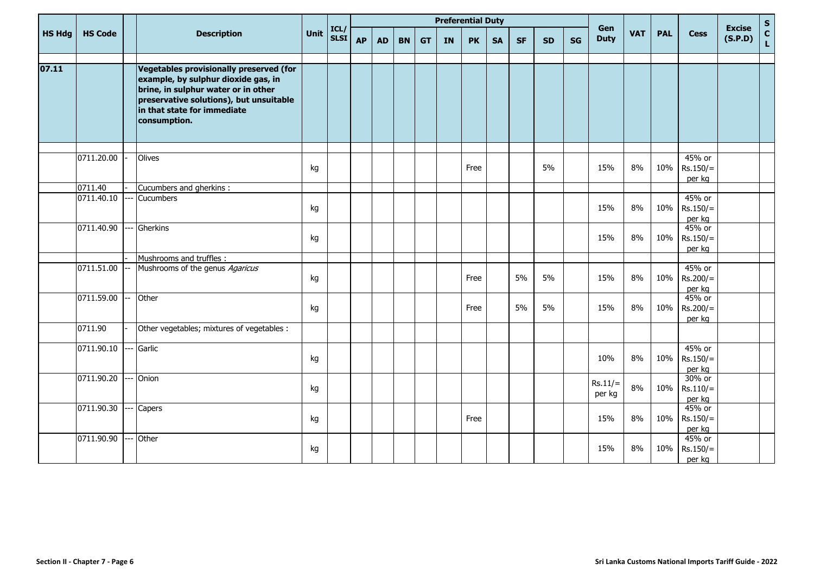|               |                |                                                                                                                                                                                                                 |      | <b>Preferential Duty</b> |           |           |           |           |           |           |           |           |           |           |                     |            |            | $\mathsf{s}$         |                          |                    |
|---------------|----------------|-----------------------------------------------------------------------------------------------------------------------------------------------------------------------------------------------------------------|------|--------------------------|-----------|-----------|-----------|-----------|-----------|-----------|-----------|-----------|-----------|-----------|---------------------|------------|------------|----------------------|--------------------------|--------------------|
| <b>HS Hdg</b> | <b>HS Code</b> | <b>Description</b>                                                                                                                                                                                              | Unit | ICL/<br><b>SLSI</b>      | <b>AP</b> | <b>AD</b> | <b>BN</b> | <b>GT</b> | <b>IN</b> | <b>PK</b> | <b>SA</b> | <b>SF</b> | <b>SD</b> | <b>SG</b> | Gen<br><b>Duty</b>  | <b>VAT</b> | <b>PAL</b> | <b>Cess</b>          | <b>Excise</b><br>(S.P.D) | $\mathbf{C}$<br>L. |
|               |                |                                                                                                                                                                                                                 |      |                          |           |           |           |           |           |           |           |           |           |           |                     |            |            |                      |                          |                    |
| 07.11         |                | Vegetables provisionally preserved (for<br>example, by sulphur dioxide gas, in<br>brine, in sulphur water or in other<br>preservative solutions), but unsuitable<br>in that state for immediate<br>consumption. |      |                          |           |           |           |           |           |           |           |           |           |           |                     |            |            |                      |                          |                    |
|               | 0711.20.00     | Olives                                                                                                                                                                                                          |      |                          |           |           |           |           |           |           |           |           |           |           |                     |            |            | 45% or               |                          |                    |
|               |                |                                                                                                                                                                                                                 | kg   |                          |           |           |           |           |           | Free      |           |           | 5%        |           | 15%                 | 8%         | 10%        | $Rs.150/=$           |                          |                    |
|               |                |                                                                                                                                                                                                                 |      |                          |           |           |           |           |           |           |           |           |           |           |                     |            |            | per kg               |                          |                    |
|               | 0711.40        | Cucumbers and gherkins :                                                                                                                                                                                        |      |                          |           |           |           |           |           |           |           |           |           |           |                     |            |            |                      |                          |                    |
|               | 0711.40.10     | Cucumbers                                                                                                                                                                                                       |      |                          |           |           |           |           |           |           |           |           |           |           | 15%                 | 8%         | 10%        | 45% or<br>$Rs.150/=$ |                          |                    |
|               |                |                                                                                                                                                                                                                 | kg   |                          |           |           |           |           |           |           |           |           |           |           |                     |            |            | per kg               |                          |                    |
|               | 0711.40.90     | Gherkins                                                                                                                                                                                                        |      |                          |           |           |           |           |           |           |           |           |           |           |                     |            |            | 45% or               |                          |                    |
|               |                |                                                                                                                                                                                                                 | kg   |                          |           |           |           |           |           |           |           |           |           |           | 15%                 | 8%         | 10%        | $Rs.150/=$           |                          |                    |
|               |                | Mushrooms and truffles :                                                                                                                                                                                        |      |                          |           |           |           |           |           |           |           |           |           |           |                     |            |            | per kg               |                          |                    |
|               | 0711.51.00     | Mushrooms of the genus Agaricus                                                                                                                                                                                 |      |                          |           |           |           |           |           |           |           |           |           |           |                     |            |            | 45% or               |                          |                    |
|               |                |                                                                                                                                                                                                                 | kg   |                          |           |           |           |           |           | Free      |           | 5%        | 5%        |           | 15%                 | 8%         | 10%        | $Rs.200/=$           |                          |                    |
|               |                |                                                                                                                                                                                                                 |      |                          |           |           |           |           |           |           |           |           |           |           |                     |            |            | per kg               |                          |                    |
|               | 0711.59.00     | Other                                                                                                                                                                                                           |      |                          |           |           |           |           |           | Free      |           | 5%        | 5%        |           | 15%                 | 8%         | 10%        | 45% or               |                          |                    |
|               |                |                                                                                                                                                                                                                 | kg   |                          |           |           |           |           |           |           |           |           |           |           |                     |            |            | $Rs.200/=$<br>per kg |                          |                    |
|               | 0711.90        | Other vegetables; mixtures of vegetables :                                                                                                                                                                      |      |                          |           |           |           |           |           |           |           |           |           |           |                     |            |            |                      |                          |                    |
|               | 0711.90.10     | Garlic                                                                                                                                                                                                          |      |                          |           |           |           |           |           |           |           |           |           |           |                     |            |            | 45% or               |                          |                    |
|               |                |                                                                                                                                                                                                                 | kg   |                          |           |           |           |           |           |           |           |           |           |           | 10%                 | 8%         | 10%        | $Rs.150/=$           |                          |                    |
|               | 0711.90.20     | Onion                                                                                                                                                                                                           |      |                          |           |           |           |           |           |           |           |           |           |           |                     |            |            | per kg<br>30% or     |                          |                    |
|               |                |                                                                                                                                                                                                                 | kg   |                          |           |           |           |           |           |           |           |           |           |           | $Rs.11/=$<br>per kg | 8%         | 10%        | $Rs.110/=$           |                          |                    |
|               |                |                                                                                                                                                                                                                 |      |                          |           |           |           |           |           |           |           |           |           |           |                     |            |            | per kg               |                          |                    |
|               | 0711.90.30     | Capers                                                                                                                                                                                                          | kg   |                          |           |           |           |           |           | Free      |           |           |           |           | 15%                 | 8%         | 10%        | 45% or<br>$Rs.150/=$ |                          |                    |
|               |                |                                                                                                                                                                                                                 |      |                          |           |           |           |           |           |           |           |           |           |           |                     |            |            | per kg               |                          |                    |
|               | 0711.90.90     | --- Other                                                                                                                                                                                                       |      |                          |           |           |           |           |           |           |           |           |           |           |                     |            |            | 45% or               |                          |                    |
|               |                |                                                                                                                                                                                                                 | kg   |                          |           |           |           |           |           |           |           |           |           |           | 15%                 | 8%         | 10%        | $Rs.150/=$           |                          |                    |
|               |                |                                                                                                                                                                                                                 |      |                          |           |           |           |           |           |           |           |           |           |           |                     |            |            | per kg               |                          |                    |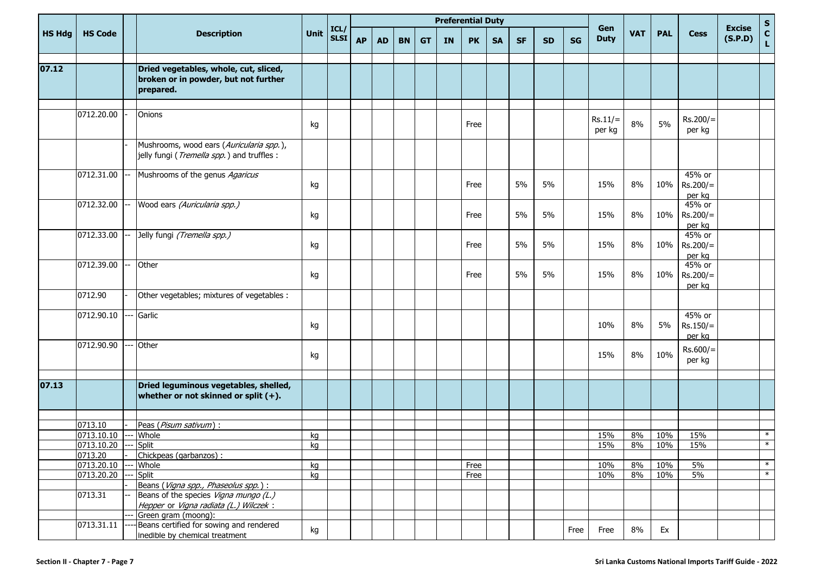|               |                         |                                                                                                                        |      |                     |           |           |           |           |           | <b>Preferential Duty</b> |           |           |           |           |                     |            |            |                                |                          |             |
|---------------|-------------------------|------------------------------------------------------------------------------------------------------------------------|------|---------------------|-----------|-----------|-----------|-----------|-----------|--------------------------|-----------|-----------|-----------|-----------|---------------------|------------|------------|--------------------------------|--------------------------|-------------|
| <b>HS Hdg</b> | <b>HS Code</b>          | <b>Description</b>                                                                                                     | Unit | ICL/<br><b>SLSI</b> | <b>AP</b> | <b>AD</b> | <b>BN</b> | <b>GT</b> | <b>IN</b> | <b>PK</b>                | <b>SA</b> | <b>SF</b> | <b>SD</b> | <b>SG</b> | Gen<br><b>Duty</b>  | <b>VAT</b> | <b>PAL</b> | <b>Cess</b>                    | <b>Excise</b><br>(S.P.D) | S<br>C<br>L |
| 07.12         |                         | Dried vegetables, whole, cut, sliced,<br>broken or in powder, but not further<br>prepared.                             |      |                     |           |           |           |           |           |                          |           |           |           |           |                     |            |            |                                |                          |             |
|               | 0712.20.00              | Onions                                                                                                                 | kg   |                     |           |           |           |           |           | Free                     |           |           |           |           | $Rs.11/=$<br>per kg | 8%         | 5%         | $Rs.200/=$<br>per kg           |                          |             |
|               |                         | Mushrooms, wood ears (Auricularia spp.),<br>jelly fungi (Tremella spp.) and truffles:                                  |      |                     |           |           |           |           |           |                          |           |           |           |           |                     |            |            |                                |                          |             |
|               | 0712.31.00              | Mushrooms of the genus Agaricus                                                                                        | kg   |                     |           |           |           |           |           | Free                     |           | 5%        | 5%        |           | 15%                 | 8%         | 10%        | 45% or<br>$Rs.200/=$<br>per kg |                          |             |
|               | 0712.32.00              | Wood ears (Auricularia spp.)                                                                                           | kg   |                     |           |           |           |           |           | Free                     |           | 5%        | 5%        |           | 15%                 | 8%         | 10%        | 45% or<br>$Rs.200/=$<br>per kg |                          |             |
|               | 0712.33.00              | Jelly fungi (Tremella spp.)                                                                                            | kg   |                     |           |           |           |           |           | Free                     |           | 5%        | 5%        |           | 15%                 | 8%         | 10%        | 45% or<br>$Rs.200/=$<br>per kg |                          |             |
|               | 0712.39.00              | Other                                                                                                                  | kg   |                     |           |           |           |           |           | Free                     |           | 5%        | 5%        |           | 15%                 | 8%         | 10%        | 45% or<br>$Rs.200/=$<br>per kg |                          |             |
|               | 0712.90                 | Other vegetables; mixtures of vegetables :                                                                             |      |                     |           |           |           |           |           |                          |           |           |           |           |                     |            |            |                                |                          |             |
|               | 0712.90.10              | Garlic                                                                                                                 | kg   |                     |           |           |           |           |           |                          |           |           |           |           | 10%                 | 8%         | 5%         | 45% or<br>$Rs.150/=$<br>per kg |                          |             |
|               | 0712.90.90              | Other                                                                                                                  | kg   |                     |           |           |           |           |           |                          |           |           |           |           | 15%                 | 8%         | 10%        | $Rs.600/=$<br>per kg           |                          |             |
| 07.13         |                         | Dried leguminous vegetables, shelled,<br>whether or not skinned or split $(+)$ .                                       |      |                     |           |           |           |           |           |                          |           |           |           |           |                     |            |            |                                |                          |             |
|               | 0713.10                 | Peas (Pisum sativum) :                                                                                                 |      |                     |           |           |           |           |           |                          |           |           |           |           |                     |            |            |                                |                          |             |
|               | $\overline{0713.10.10}$ | Whole                                                                                                                  | kg   |                     |           |           |           |           |           |                          |           |           |           |           | 15%                 | 8%         | 10%        | 15%                            |                          | $\ast$      |
|               | 0713.10.20 --- Split    |                                                                                                                        | kg   |                     |           |           |           |           |           |                          |           |           |           |           | 15%                 | 8%         | 10%        | 15%                            |                          | $\ast$      |
|               | 0713.20                 | Chickpeas (garbanzos) :                                                                                                |      |                     |           |           |           |           |           |                          |           |           |           |           |                     |            |            |                                |                          |             |
|               | 0713.20.10              | Whole                                                                                                                  | kg   |                     |           |           |           |           |           | Free                     |           |           |           |           | 10%                 | 8%         | 10%        | 5%                             |                          | $\ast$      |
|               | 0713.20.20              | Split                                                                                                                  | kg   |                     |           |           |           |           |           | Free                     |           |           |           |           | 10%                 | 8%         | 10%        | 5%                             |                          | $\ast$      |
|               | 0713.31                 | Beans (Vigna spp., Phaseolus spp.):<br>Beans of the species Vigna mungo (L.)<br>Hepper or Vigna radiata (L.) Wilczek : |      |                     |           |           |           |           |           |                          |           |           |           |           |                     |            |            |                                |                          |             |
|               |                         | Green gram (moong):                                                                                                    |      |                     |           |           |           |           |           |                          |           |           |           |           |                     |            |            |                                |                          |             |
|               | 0713.31.11              | Beans certified for sowing and rendered<br>inedible by chemical treatment                                              | kg   |                     |           |           |           |           |           |                          |           |           |           | Free      | Free                | 8%         | Ex         |                                |                          |             |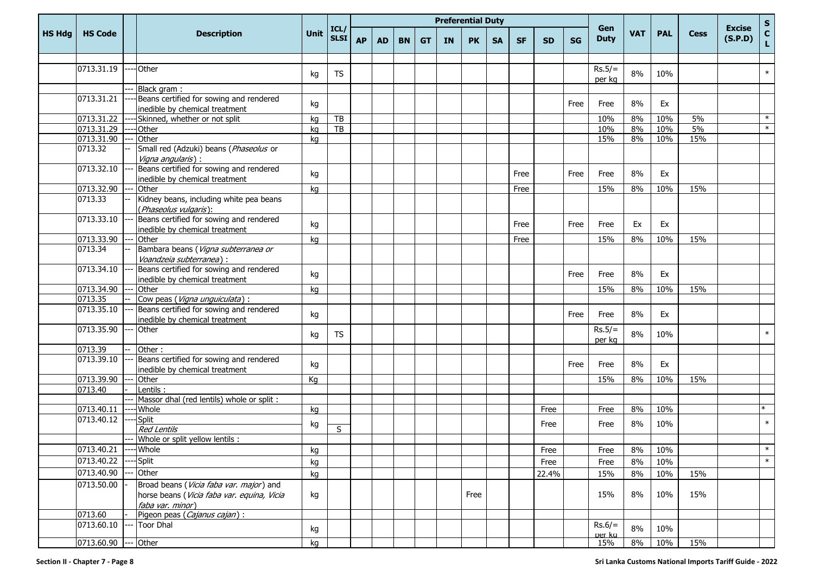|               |                |                                                                                                           |             |                     |           |           |           | <b>Preferential Duty</b> |           |           |           |           |           |           |                    |            |            |             |                          |             |
|---------------|----------------|-----------------------------------------------------------------------------------------------------------|-------------|---------------------|-----------|-----------|-----------|--------------------------|-----------|-----------|-----------|-----------|-----------|-----------|--------------------|------------|------------|-------------|--------------------------|-------------|
| <b>HS Hdg</b> | <b>HS Code</b> | <b>Description</b>                                                                                        | <b>Unit</b> | ICL/<br><b>SLSI</b> | <b>AP</b> | <b>AD</b> | <b>BN</b> | <b>GT</b>                | <b>IN</b> | <b>PK</b> | <b>SA</b> | <b>SF</b> | <b>SD</b> | <b>SG</b> | Gen<br><b>Duty</b> | <b>VAT</b> | <b>PAL</b> | <b>Cess</b> | <b>Excise</b><br>(S.P.D) | S<br>C<br>L |
|               |                |                                                                                                           |             |                     |           |           |           |                          |           |           |           |           |           |           |                    |            |            |             |                          |             |
|               | 0713.31.19     | Other                                                                                                     | kg          | TS                  |           |           |           |                          |           |           |           |           |           |           | $Rs.5/=$<br>per kg | 8%         | 10%        |             |                          | $\ast$      |
|               |                | Black gram:                                                                                               |             |                     |           |           |           |                          |           |           |           |           |           |           |                    |            |            |             |                          |             |
|               | 0713.31.21     | Beans certified for sowing and rendered<br>inedible by chemical treatment                                 | kg          |                     |           |           |           |                          |           |           |           |           |           | Free      | Free               | 8%         | Ex         |             |                          |             |
|               | 0713.31.22     | Skinned, whether or not split                                                                             | kg          | ${\sf TB}$          |           |           |           |                          |           |           |           |           |           |           | 10%                | 8%         | 10%        | 5%          |                          | $\ast$      |
|               | 0713.31.29     | Other                                                                                                     | kg          | $\overline{TB}$     |           |           |           |                          |           |           |           |           |           |           | 10%                | 8%         | 10%        | 5%          |                          | $\ast$      |
|               | 0713.31.90     | Other                                                                                                     | kg          |                     |           |           |           |                          |           |           |           |           |           |           | 15%                | 8%         | 10%        | 15%         |                          |             |
|               | 0713.32        | Small red (Adzuki) beans (Phaseolus or<br>Vigna angularis) :                                              |             |                     |           |           |           |                          |           |           |           |           |           |           |                    |            |            |             |                          |             |
|               | 0713.32.10     | Beans certified for sowing and rendered<br>inedible by chemical treatment                                 | kg          |                     |           |           |           |                          |           |           |           | Free      |           | Free      | Free               | 8%         | Ex         |             |                          |             |
|               | 0713.32.90     | Other                                                                                                     | kg          |                     |           |           |           |                          |           |           |           | Free      |           |           | 15%                | 8%         | 10%        | 15%         |                          |             |
|               | 0713.33        | Kidney beans, including white pea beans<br>(Phaseolus vulgaris):                                          |             |                     |           |           |           |                          |           |           |           |           |           |           |                    |            |            |             |                          |             |
|               | 0713.33.10     | Beans certified for sowing and rendered<br>inedible by chemical treatment                                 | kg          |                     |           |           |           |                          |           |           |           | Free      |           | Free      | Free               | Ex         | Ex         |             |                          |             |
|               | 0713.33.90     | Other                                                                                                     | kg          |                     |           |           |           |                          |           |           |           | Free      |           |           | 15%                | 8%         | 10%        | 15%         |                          |             |
|               | 0713.34        | Bambara beans (Vigna subterranea or<br>Voandzeia subterranea) :                                           |             |                     |           |           |           |                          |           |           |           |           |           |           |                    |            |            |             |                          |             |
|               | 0713.34.10     | Beans certified for sowing and rendered<br>inedible by chemical treatment                                 | kg          |                     |           |           |           |                          |           |           |           |           |           | Free      | Free               | 8%         | Ex         |             |                          |             |
|               | 0713.34.90     | Other                                                                                                     | kg          |                     |           |           |           |                          |           |           |           |           |           |           | 15%                | 8%         | 10%        | 15%         |                          |             |
|               | 0713.35        | Cow peas (Vigna unguiculata) :                                                                            |             |                     |           |           |           |                          |           |           |           |           |           |           |                    |            |            |             |                          |             |
|               | 0713.35.10     | Beans certified for sowing and rendered<br>inedible by chemical treatment                                 | kg          |                     |           |           |           |                          |           |           |           |           |           | Free      | Free               | 8%         | Ex         |             |                          |             |
|               | 0713.35.90     | Other                                                                                                     | kg          | <b>TS</b>           |           |           |           |                          |           |           |           |           |           |           | $Rs.5/=$<br>per kg | 8%         | 10%        |             |                          | $\ast$      |
|               | 0713.39        | Other:                                                                                                    |             |                     |           |           |           |                          |           |           |           |           |           |           |                    |            |            |             |                          |             |
|               | 0713.39.10     | Beans certified for sowing and rendered<br>inedible by chemical treatment                                 | kg          |                     |           |           |           |                          |           |           |           |           |           | Free      | Free               | 8%         | Ex         |             |                          |             |
|               | 0713.39.90     | Other                                                                                                     | Кg          |                     |           |           |           |                          |           |           |           |           |           |           | 15%                | 8%         | 10%        | 15%         |                          |             |
|               | 0713.40        | Lentils:                                                                                                  |             |                     |           |           |           |                          |           |           |           |           |           |           |                    |            |            |             |                          |             |
|               |                | Massor dhal (red lentils) whole or split :                                                                |             |                     |           |           |           |                          |           |           |           |           |           |           |                    |            |            |             |                          |             |
|               | 0713.40.11     | Whole                                                                                                     | kg          |                     |           |           |           |                          |           |           |           |           | Free      |           | Free               | 8%         | 10%        |             |                          |             |
|               | 0713.40.12     | Split                                                                                                     | kg          |                     |           |           |           |                          |           |           |           |           | Free      |           | Free               | 8%         | 10%        |             |                          | $\ast$      |
|               |                | <b>Red Lentils</b>                                                                                        |             | S                   |           |           |           |                          |           |           |           |           |           |           |                    |            |            |             |                          |             |
|               | 0713.40.21     | Whole or split yellow lentils :                                                                           |             |                     |           |           |           |                          |           |           |           |           |           |           |                    |            |            |             |                          |             |
|               |                | --- Whole                                                                                                 | kg          |                     |           |           |           |                          |           |           |           |           | Free      |           | Free               | 8%         | 10%        |             |                          | ж           |
|               | 0713.40.22     | Split                                                                                                     | kg          |                     |           |           |           |                          |           |           |           |           | Free      |           | Free               | 8%         | 10%        |             |                          | $\ast$      |
|               | 0713.40.90     | Other                                                                                                     | kg          |                     |           |           |           |                          |           |           |           |           | 22.4%     |           | 15%                | 8%         | 10%        | 15%         |                          |             |
|               | 0713.50.00     | Broad beans (Vicia faba var. major) and<br>horse beans (Vicia faba var. equina, Vicia<br>faba var. minor) | kg          |                     |           |           |           |                          |           | Free      |           |           |           |           | 15%                | 8%         | 10%        | 15%         |                          |             |
|               | 0713.60        | Pigeon peas (Cajanus cajan) :                                                                             |             |                     |           |           |           |                          |           |           |           |           |           |           |                    |            |            |             |                          |             |
|               | 0713.60.10     | <b>Toor Dhal</b>                                                                                          | kg          |                     |           |           |           |                          |           |           |           |           |           |           | $Rs.6/=$<br>ner ka | 8%         | 10%        |             |                          |             |
|               | 0713.60.90     | --- Other                                                                                                 | kg          |                     |           |           |           |                          |           |           |           |           |           |           | 15%                | 8%         | 10%        | 15%         |                          |             |